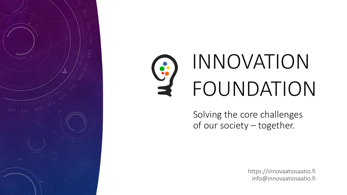

# INNOVATION S FOUNDATION

Solving the core challenges of our society – together.

> https://innovaatiosaatio.fi info@innovaatiosaatio.fi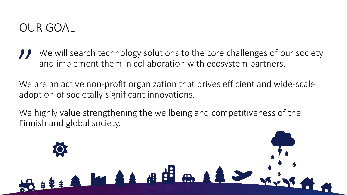## OUR GOAL

We will search technology solutions to the core challenges of our society and implement them in collaboration with ecosystem partners. *I* We will search technology solutions to the core challenges of our socie<br>and implement them in collaboration with ecosystem partners.<br>We are an active non-profit organization that drives efficient and wide-scale

adoption of societally significant innovations.

We highly value strengthening the wellbeing and competitiveness of the Finnish and global society.

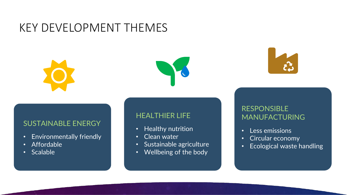## KEY DEVELOPMENT THEMES





### SUSTAINABLE ENERGY

- Environmentally friendly
- Affordable
- Scalable

### HEALTHIER LIFE

- Healthy nutrition
- Clean water
- Sustainable agriculture
- Wellbeing of the body

### RESPONSIBLE MANUFACTURING

- Less emissions
- Circular economy
- Ecological waste handling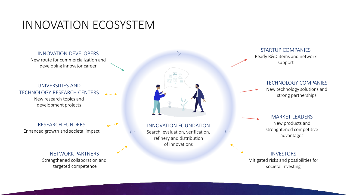## INNOVATION ECOSYSTEM

#### INNOVATION DEVELOPERS

New route for commercialization and developing innovator career

#### UNIVERSITIES AND TECHNOLOGY RESEARCH CENTERS  $\blacksquare$ New research topics and development projects

RESEARCH FUNDERS Enhanced growth and societal impact

#### NETWORK PARTNERS Strengthened collaboration and

targeted competence



INNOVATION FOUNDATION Search, evaluation, verification, refinery and distribution of innovations

#### STARTUP COMPANIES Ready R&D items and network support

#### TECHNOLOGY COMPANIES

New technology solutions and strong partnerships

MARKET LEADERS New products and strenghtened competitive advantages

#### INVESTORS

Mitigated risks and possibilities for societal investing